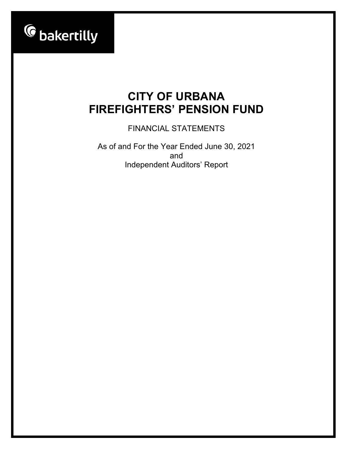

FINANCIAL STATEMENTS

As of and For the Year Ended June 30, 2021 and Independent Auditors' Report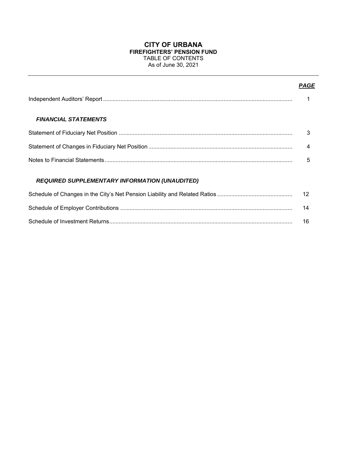#### **CITY OF URBANA FIREFIGHTERS' PENSION FUND** TABLE OF CONTENTS As of June 30, 2021

|                                                       | PAGE         |
|-------------------------------------------------------|--------------|
|                                                       | $\mathbf{1}$ |
| <b>FINANCIAL STATEMENTS</b>                           |              |
|                                                       | 3            |
|                                                       | 4            |
|                                                       | 5            |
| <b>REQUIRED SUPPLEMENTARY INFORMATION (UNAUDITED)</b> |              |
|                                                       |              |
|                                                       | 14           |
|                                                       | 16           |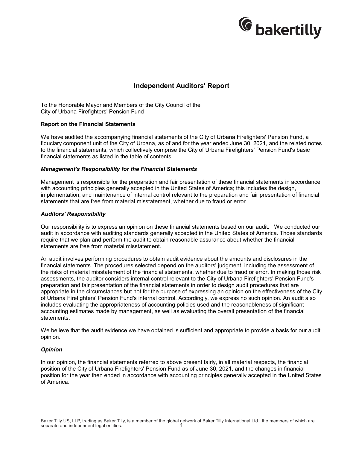

## **Independent Auditors' Report**

To the Honorable Mayor and Members of the City Council of the City of Urbana Firefighters' Pension Fund

#### **Report on the Financial Statements**

We have audited the accompanying financial statements of the City of Urbana Firefighters' Pension Fund, a fiduciary component unit of the City of Urbana, as of and for the year ended June 30, 2021, and the related notes to the financial statements, which collectively comprise the City of Urbana Firefighters' Pension Fund's basic financial statements as listed in the table of contents.

#### *Management's Responsibility for the Financial Statements*

Management is responsible for the preparation and fair presentation of these financial statements in accordance with accounting principles generally accepted in the United States of America; this includes the design, implementation, and maintenance of internal control relevant to the preparation and fair presentation of financial statements that are free from material misstatement, whether due to fraud or error.

#### *Auditors' Responsibility*

Our responsibility is to express an opinion on these financial statements based on our audit. We conducted our audit in accordance with auditing standards generally accepted in the United States of America. Those standards require that we plan and perform the audit to obtain reasonable assurance about whether the financial statements are free from material misstatement.

An audit involves performing procedures to obtain audit evidence about the amounts and disclosures in the financial statements. The procedures selected depend on the auditors' judgment, including the assessment of the risks of material misstatement of the financial statements, whether due to fraud or error. In making those risk assessments, the auditor considers internal control relevant to the City of Urbana Firefighters' Pension Fund's preparation and fair presentation of the financial statements in order to design audit procedures that are appropriate in the circumstances but not for the purpose of expressing an opinion on the effectiveness of the City of Urbana Firefighters' Pension Fund's internal control. Accordingly, we express no such opinion. An audit also includes evaluating the appropriateness of accounting policies used and the reasonableness of significant accounting estimates made by management, as well as evaluating the overall presentation of the financial statements.

We believe that the audit evidence we have obtained is sufficient and appropriate to provide a basis for our audit opinion.

#### *Opinion*

In our opinion, the financial statements referred to above present fairly, in all material respects, the financial position of the City of Urbana Firefighters' Pension Fund as of June 30, 2021, and the changes in financial position for the year then ended in accordance with accounting principles generally accepted in the United States of America.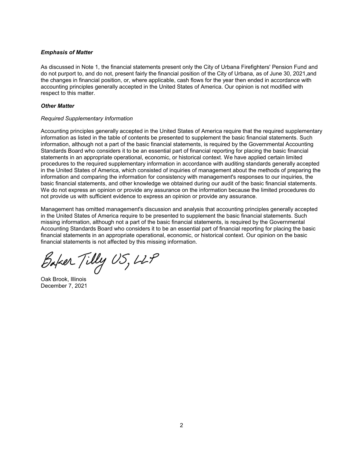#### *Emphasis of Matter*

As discussed in Note 1, the financial statements present only the City of Urbana Firefighters' Pension Fund and do not purport to, and do not, present fairly the financial position of the City of Urbana, as of June 30, 2021,and the changes in financial position, or, where applicable, cash flows for the year then ended in accordance with accounting principles generally accepted in the United States of America. Our opinion is not modified with respect to this matter.

#### *Other Matter*

#### *Required Supplementary Information*

Accounting principles generally accepted in the United States of America require that the required supplementary information as listed in the table of contents be presented to supplement the basic financial statements. Such information, although not a part of the basic financial statements, is required by the Governmental Accounting Standards Board who considers it to be an essential part of financial reporting for placing the basic financial statements in an appropriate operational, economic, or historical context. We have applied certain limited procedures to the required supplementary information in accordance with auditing standards generally accepted in the United States of America, which consisted of inquiries of management about the methods of preparing the information and comparing the information for consistency with management's responses to our inquiries, the basic financial statements, and other knowledge we obtained during our audit of the basic financial statements. We do not express an opinion or provide any assurance on the information because the limited procedures do not provide us with sufficient evidence to express an opinion or provide any assurance.

Management has omitted management's discussion and analysis that accounting principles generally accepted in the United States of America require to be presented to supplement the basic financial statements. Such missing information, although not a part of the basic financial statements, is required by the Governmental Accounting Standards Board who considers it to be an essential part of financial reporting for placing the basic financial statements in an appropriate operational, economic, or historical context. Our opinion on the basic financial statements is not affected by this missing information.

Baker Tilly US, LLP

Oak Brook, Illinois December 7, 2021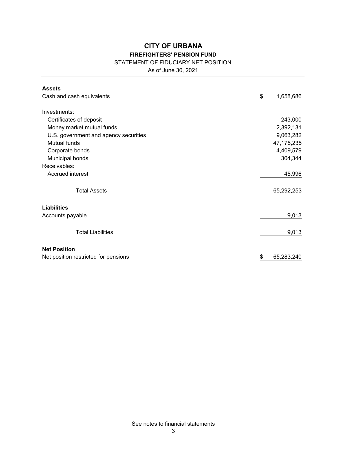# **CITY OF URBANA**

#### **FIREFIGHTERS' PENSION FUND** STATEMENT OF FIDUCIARY NET POSITION

As of June 30, 2021

| <b>Assets</b>                         |                  |
|---------------------------------------|------------------|
| Cash and cash equivalents             | \$<br>1,658,686  |
| Investments:                          |                  |
| Certificates of deposit               | 243,000          |
| Money market mutual funds             | 2,392,131        |
| U.S. government and agency securities | 9,063,282        |
| Mutual funds                          | 47, 175, 235     |
| Corporate bonds                       | 4,409,579        |
| Municipal bonds                       | 304,344          |
| Receivables:                          |                  |
| Accrued interest                      | 45,996           |
| <b>Total Assets</b>                   | 65,292,253       |
| <b>Liabilities</b>                    |                  |
| Accounts payable                      | 9,013            |
| <b>Total Liabilities</b>              | 9,013            |
| <b>Net Position</b>                   |                  |
| Net position restricted for pensions  | \$<br>65,283,240 |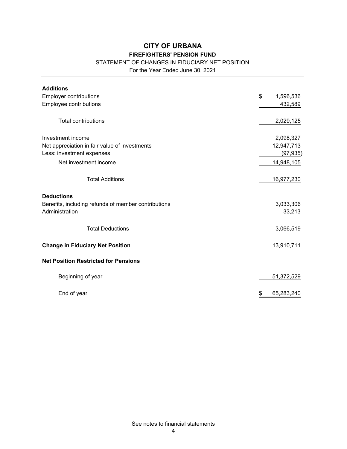## STATEMENT OF CHANGES IN FIDUCIARY NET POSITION

For the Year Ended June 30, 2021

| <b>Additions</b>                                    |                  |
|-----------------------------------------------------|------------------|
| <b>Employer contributions</b>                       | \$<br>1,596,536  |
| Employee contributions                              | 432,589          |
|                                                     |                  |
| <b>Total contributions</b>                          | 2,029,125        |
| Investment income                                   | 2,098,327        |
| Net appreciation in fair value of investments       | 12,947,713       |
| Less: investment expenses                           |                  |
|                                                     | (97, 935)        |
| Net investment income                               | 14,948,105       |
| <b>Total Additions</b>                              |                  |
|                                                     | 16,977,230       |
| <b>Deductions</b>                                   |                  |
| Benefits, including refunds of member contributions | 3,033,306        |
| Administration                                      | 33,213           |
|                                                     |                  |
| <b>Total Deductions</b>                             | 3,066,519        |
|                                                     |                  |
| <b>Change in Fiduciary Net Position</b>             | 13,910,711       |
|                                                     |                  |
| <b>Net Position Restricted for Pensions</b>         |                  |
| Beginning of year                                   | 51,372,529       |
|                                                     |                  |
| End of year                                         | \$<br>65,283,240 |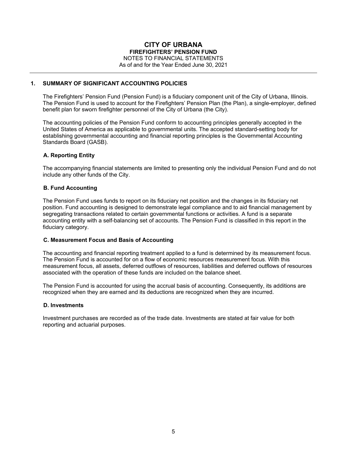## **CITY OF URBANA FIREFIGHTERS' PENSION FUND** NOTES TO FINANCIAL STATEMENTS

As of and for the Year Ended June 30, 2021

#### **1. SUMMARY OF SIGNIFICANT ACCOUNTING POLICIES**

 The Firefighters' Pension Fund (Pension Fund) is a fiduciary component unit of the City of Urbana, Illinois. The Pension Fund is used to account for the Firefighters' Pension Plan (the Plan), a single-employer, defined benefit plan for sworn firefighter personnel of the City of Urbana (the City).

 The accounting policies of the Pension Fund conform to accounting principles generally accepted in the United States of America as applicable to governmental units. The accepted standard-setting body for establishing governmental accounting and financial reporting principles is the Governmental Accounting Standards Board (GASB).

#### **A. Reporting Entity**

 The accompanying financial statements are limited to presenting only the individual Pension Fund and do not include any other funds of the City.

#### **B. Fund Accounting**

 The Pension Fund uses funds to report on its fiduciary net position and the changes in its fiduciary net position. Fund accounting is designed to demonstrate legal compliance and to aid financial management by segregating transactions related to certain governmental functions or activities. A fund is a separate accounting entity with a self-balancing set of accounts. The Pension Fund is classified in this report in the fiduciary category.

#### **C. Measurement Focus and Basis of Accounting**

 The accounting and financial reporting treatment applied to a fund is determined by its measurement focus. The Pension Fund is accounted for on a flow of economic resources measurement focus. With this measurement focus, all assets, deferred outflows of resources, liabilities and deferred outflows of resources associated with the operation of these funds are included on the balance sheet.

 The Pension Fund is accounted for using the accrual basis of accounting. Consequently, its additions are recognized when they are earned and its deductions are recognized when they are incurred.

#### **D. Investments**

 Investment purchases are recorded as of the trade date. Investments are stated at fair value for both reporting and actuarial purposes.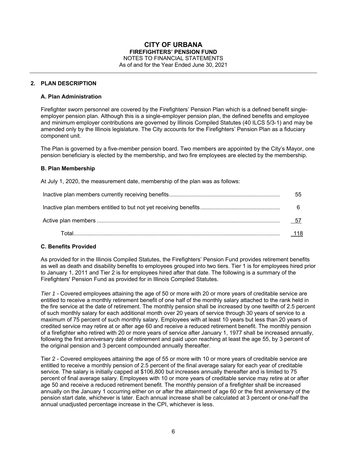#### **2. PLAN DESCRIPTION**

#### **A. Plan Administration**

Firefighter sworn personnel are covered by the Firefighters' Pension Plan which is a defined benefit singleemployer pension plan. Although this is a single-employer pension plan, the defined benefits and employee and minimum employer contributions are governed by Illinois Compiled Statutes (40 ILCS 5/3-1) and may be amended only by the Illinois legislature. The City accounts for the Firefighters' Pension Plan as a fiduciary component unit.

The Plan is governed by a five-member pension board. Two members are appointed by the City's Mayor, one pension beneficiary is elected by the membership, and two fire employees are elected by the membership.

#### **B. Plan Membership**

At July 1, 2020, the measurement date, membership of the plan was as follows:

|  | - 57 |
|--|------|
|  | 118. |

#### **C. Benefits Provided**

As provided for in the Illinois Compiled Statutes, the Firefighters' Pension Fund provides retirement benefits as well as death and disability benefits to employees grouped into two tiers. Tier 1 is for employees hired prior to January 1, 2011 and Tier 2 is for employees hired after that date. The following is a summary of the Firefighters' Pension Fund as provided for in Illinois Compiled Statutes.

*Tier 1* - Covered employees attaining the age of 50 or more with 20 or more years of creditable service are entitled to receive a monthly retirement benefit of one half of the monthly salary attached to the rank held in the fire service at the date of retirement. The monthly pension shall be increased by one twelfth of 2.5 percent of such monthly salary for each additional month over 20 years of service through 30 years of service to a maximum of 75 percent of such monthly salary. Employees with at least 10 years but less than 20 years of credited service may retire at or after age 60 and receive a reduced retirement benefit. The monthly pension of a firefighter who retired with 20 or more years of service after January 1, 1977 shall be increased annually, following the first anniversary date of retirement and paid upon reaching at least the age 55, by 3 percent of the original pension and 3 percent compounded annually thereafter.

Tier 2 - Covered employees attaining the age of 55 or more with 10 or more years of creditable service are entitled to receive a monthly pension of 2.5 percent of the final average salary for each year of creditable service. The salary is initially capped at \$106,800 but increases annually thereafter and is limited to 75 percent of final average salary. Employees with 10 or more years of creditable service may retire at or after age 50 and receive a reduced retirement benefit. The monthly pension of a firefighter shall be increased annually on the January 1 occurring either on or after the attainment of age 60 or the first anniversary of the pension start date, whichever is later. Each annual increase shall be calculated at 3 percent or one-half the annual unadjusted percentage increase in the CPI, whichever is less.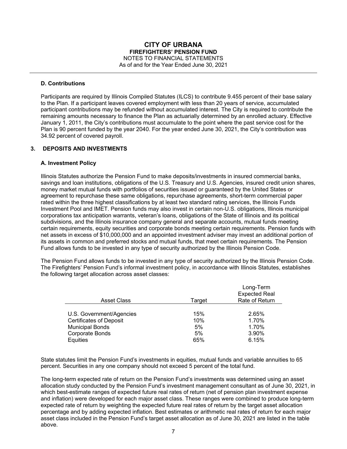#### **D. Contributions**

Participants are required by Illinois Compiled Statutes (ILCS) to contribute 9.455 percent of their base salary to the Plan. If a participant leaves covered employment with less than 20 years of service, accumulated participant contributions may be refunded without accumulated interest. The City is required to contribute the remaining amounts necessary to finance the Plan as actuarially determined by an enrolled actuary. Effective January 1, 2011, the City's contributions must accumulate to the point where the past service cost for the Plan is 90 percent funded by the year 2040. For the year ended June 30, 2021, the City's contribution was 34.92 percent of covered payroll.

#### **3. DEPOSITS AND INVESTMENTS**

#### **A. Investment Policy**

Illinois Statutes authorize the Pension Fund to make deposits/investments in insured commercial banks, savings and loan institutions, obligations of the U.S. Treasury and U.S. Agencies, insured credit union shares, money market mutual funds with portfolios of securities issued or guaranteed by the United States or agreement to repurchase these same obligations, repurchase agreements, short-term commercial paper rated within the three highest classifications by at least two standard rating services, the Illinois Funds Investment Pool and IMET. Pension funds may also invest in certain non-U.S. obligations, Illinois municipal corporations tax anticipation warrants, veteran's loans, obligations of the State of Illinois and its political subdivisions, and the Illinois insurance company general and separate accounts, mutual funds meeting certain requirements, equity securities and corporate bonds meeting certain requirements. Pension funds with net assets in excess of \$10,000,000 and an appointed investment adviser may invest an additional portion of its assets in common and preferred stocks and mutual funds, that meet certain requirements. The Pension Fund allows funds to be invested in any type of security authorized by the Illinois Pension Code.

The Pension Fund allows funds to be invested in any type of security authorized by the Illinois Pension Code. The Firefighters' Pension Fund's informal investment policy, in accordance with Illinois Statutes, establishes the following target allocation across asset classes:

|                                |        | Long-Term<br><b>Expected Real</b> |
|--------------------------------|--------|-----------------------------------|
| <b>Asset Class</b>             | Target | Rate of Return                    |
|                                |        |                                   |
| U.S. Government/Agencies       | 15%    | 2.65%                             |
| <b>Certificates of Deposit</b> | 10%    | 1.70%                             |
| <b>Municipal Bonds</b>         | 5%     | 1.70%                             |
| Corporate Bonds                | 5%     | 3.90%                             |
| Equities                       | 65%    | 6.15%                             |

State statutes limit the Pension Fund's investments in equities, mutual funds and variable annuities to 65 percent. Securities in any one company should not exceed 5 percent of the total fund.

The long-term expected rate of return on the Pension Fund's investments was determined using an asset allocation study conducted by the Pension Fund's investment management consultant as of June 30, 2021, in which best-estimate ranges of expected future real rates of return (net of pension plan investment expense and inflation) were developed for each major asset class. These ranges were combined to produce long-term expected rate of return by weighting the expected future real rates of return by the target asset allocation percentage and by adding expected inflation. Best estimates or arithmetic real rates of return for each major asset class included in the Pension Fund's target asset allocation as of June 30, 2021 are listed in the table above.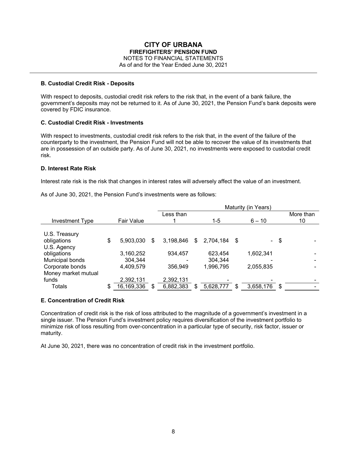## **CITY OF URBANA FIREFIGHTERS' PENSION FUND** NOTES TO FINANCIAL STATEMENTS

As of and for the Year Ended June 30, 2021

#### **B. Custodial Credit Risk - Deposits**

With respect to deposits, custodial credit risk refers to the risk that, in the event of a bank failure, the government's deposits may not be returned to it. As of June 30, 2021, the Pension Fund's bank deposits were covered by FDIC insurance.

#### **C. Custodial Credit Risk - Investments**

With respect to investments, custodial credit risk refers to the risk that, in the event of the failure of the counterparty to the investment, the Pension Fund will not be able to recover the value of its investments that are in possession of an outside party. As of June 30, 2021, no investments were exposed to custodial credit risk.

#### **D. Interest Rate Risk**

Interest rate risk is the risk that changes in interest rates will adversely affect the value of an investment.

As of June 30, 2021, the Pension Fund's investments were as follows:

|                     |                  | Maturity (in Years) |     |           |     |           |           |
|---------------------|------------------|---------------------|-----|-----------|-----|-----------|-----------|
|                     |                  | Less than           |     |           |     |           | More than |
| Investment Type     | Fair Value       |                     |     | $1 - 5$   |     | $6 - 10$  | 10        |
|                     |                  |                     |     |           |     |           |           |
| U.S. Treasury       |                  |                     |     |           |     |           |           |
| obligations         | \$<br>5,903,030  | \$<br>3,198,846     | S   | 2,704,184 | -\$ | $\sim$    | \$        |
| U.S. Agency         |                  |                     |     |           |     |           |           |
| obligations         | 3,160,252        | 934,457             |     | 623,454   |     | 1,602,341 |           |
| Municipal bonds     | 304,344          |                     |     | 304.344   |     |           |           |
| Corporate bonds     | 4,409,579        | 356,949             |     | 1,996,795 |     | 2,055,835 |           |
| Money market mutual |                  |                     |     |           |     |           |           |
| funds               | 2,392,131        | 2,392,131           |     |           |     |           |           |
| <b>Totals</b>       | \$<br>16,169,336 | \$<br>6,882,383     | \$. | 5,628,777 | S   | 3,658,176 | \$        |
|                     |                  |                     |     |           |     |           |           |

#### **E. Concentration of Credit Risk**

Concentration of credit risk is the risk of loss attributed to the magnitude of a government's investment in a single issuer. The Pension Fund's investment policy requires diversification of the investment portfolio to minimize risk of loss resulting from over-concentration in a particular type of security, risk factor, issuer or maturity.

At June 30, 2021, there was no concentration of credit risk in the investment portfolio.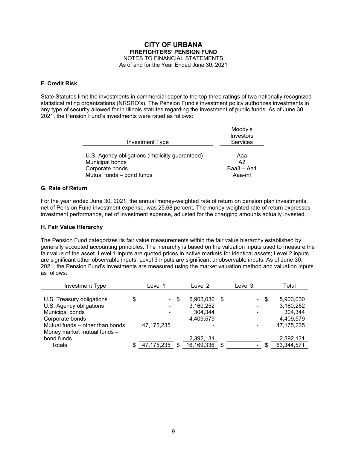#### **F. Credit Risk**

State Statutes limit the investments in commercial paper to the top three ratings of two nationally recognized statistical rating organizations (NRSRO's). The Pension Fund's investment policy authorizes investments in any type of security allowed for in Illinois statutes regarding the investment of public funds. As of June 30, 2021, the Pension Fund's investments were rated as follows:

| Investment Type                                 | Moody's<br>Investors<br><b>Services</b> |
|-------------------------------------------------|-----------------------------------------|
| U.S. Agency obligations (implicitly guaranteed) | Ааа                                     |
| Municipal bonds                                 | A2                                      |
| Corporate bonds                                 | Baa3 – Aa1                              |
| Mutual funds - bond funds                       | Aaa-mf                                  |

#### **G. Rate of Return**

For the year ended June 30, 2021, the annual money-weighted rate of return on pension plan investments, net of Pension Fund investment expense, was 25.68 percent. The money-weighted rate of return expresses investment performance, net of investment expense, adjusted for the changing amounts actually invested.

#### **H. Fair Value Hierarchy**

The Pension Fund categorizes its fair value measurements within the fair value hierarchy established by generally accepted accounting principles. The hierarchy is based on the valuation inputs used to measure the fair value of the asset. Level 1 inputs are quoted prices in active markets for identical assets; Level 2 inputs are significant other observable inputs; Level 3 inputs are significant unobservable inputs. As of June 30, 2021, the Pension Fund's investments are measured using the market valuation method and valuation inputs as follows:

| Investment Type                                                | Level 1 |                | Level 2 |            | Level 3 |                   |     | Total        |
|----------------------------------------------------------------|---------|----------------|---------|------------|---------|-------------------|-----|--------------|
|                                                                |         |                |         |            |         |                   |     |              |
| U.S. Treasury obligations                                      | \$      |                | - \$    | 5,903,030  | - \$    | -\$<br>$\sim 100$ |     | 5,903,030    |
| U.S. Agency obligations                                        |         | $\blacksquare$ |         | 3,160,252  |         |                   |     | 3,160,252    |
| Municipal bonds                                                |         |                |         | 304,344    |         |                   |     | 304,344      |
| Corporate bonds                                                |         |                |         | 4,409,579  |         |                   |     | 4,409,579    |
| Mutual funds - other than bonds<br>Money market mutual funds - |         | 47, 175, 235   |         |            |         |                   |     | 47, 175, 235 |
| bond funds                                                     |         |                |         | 2,392,131  |         |                   |     | 2,392,131    |
| <b>Totals</b>                                                  | S       | 47,175,235     | \$      | 16,169,336 | \$      | $\sim$            | \$. | 63,344,571   |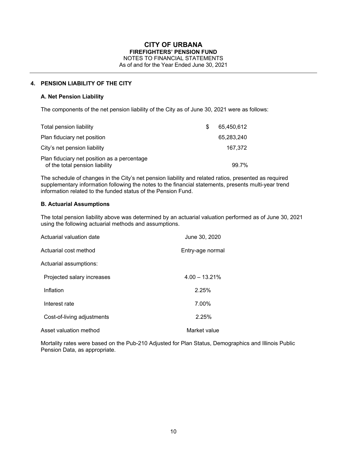## **CITY OF URBANA FIREFIGHTERS' PENSION FUND** NOTES TO FINANCIAL STATEMENTS

As of and for the Year Ended June 30, 2021

#### **4. PENSION LIABILITY OF THE CITY**

#### **A. Net Pension Liability**

The components of the net pension liability of the City as of June 30, 2021 were as follows:

| Total pension liability                                                       | 65,450,612 |
|-------------------------------------------------------------------------------|------------|
| Plan fiduciary net position                                                   | 65,283,240 |
| City's net pension liability                                                  | 167.372    |
| Plan fiduciary net position as a percentage<br>of the total pension liability | 99.7%      |

The schedule of changes in the City's net pension liability and related ratios, presented as required supplementary information following the notes to the financial statements, presents multi-year trend information related to the funded status of the Pension Fund.

#### **B. Actuarial Assumptions**

The total pension liability above was determined by an actuarial valuation performed as of June 30, 2021 using the following actuarial methods and assumptions.

| Actuarial valuation date   | June 30, 2020    |
|----------------------------|------------------|
| Actuarial cost method      | Entry-age normal |
| Actuarial assumptions:     |                  |
| Projected salary increases | $4.00 - 13.21%$  |
| Inflation                  | 2.25%            |
| Interest rate              | 7.00%            |
| Cost-of-living adjustments | 2.25%            |
| Asset valuation method     | Market value     |

Mortality rates were based on the Pub-210 Adjusted for Plan Status, Demographics and Illinois Public Pension Data, as appropriate.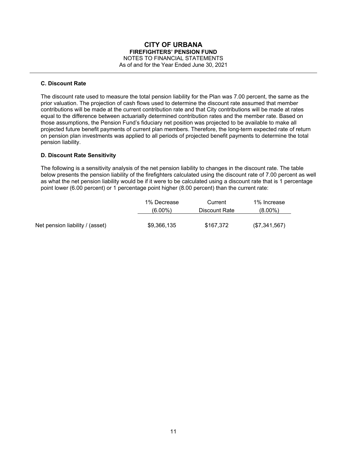#### **C. Discount Rate**

The discount rate used to measure the total pension liability for the Plan was 7.00 percent, the same as the prior valuation. The projection of cash flows used to determine the discount rate assumed that member contributions will be made at the current contribution rate and that City contributions will be made at rates equal to the difference between actuarially determined contribution rates and the member rate. Based on those assumptions, the Pension Fund's fiduciary net position was projected to be available to make all projected future benefit payments of current plan members. Therefore, the long-term expected rate of return on pension plan investments was applied to all periods of projected benefit payments to determine the total pension liability.

#### **D. Discount Rate Sensitivity**

The following is a sensitivity analysis of the net pension liability to changes in the discount rate. The table below presents the pension liability of the firefighters calculated using the discount rate of 7.00 percent as well as what the net pension liability would be if it were to be calculated using a discount rate that is 1 percentage point lower (6.00 percent) or 1 percentage point higher (8.00 percent) than the current rate:

|                                 | 1% Decrease | Current       | 1% Increase   |
|---------------------------------|-------------|---------------|---------------|
|                                 | (6.00%)     | Discount Rate | $(8.00\%)$    |
|                                 |             |               |               |
| Net pension liability / (asset) | \$9,366,135 | \$167.372     | (\$7,341,567) |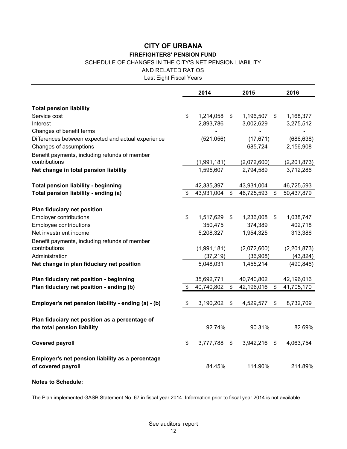#### SCHEDULE OF CHANGES IN THE CITY'S NET PENSION LIABILITY

AND RELATED RATIOS

Last Eight Fiscal Years

|                                                                        |      | 2014        |    | 2015        | 2016             |
|------------------------------------------------------------------------|------|-------------|----|-------------|------------------|
| <b>Total pension liability</b>                                         |      |             |    |             |                  |
| Service cost                                                           | \$   | 1,214,058   | \$ | 1,196,507   | \$<br>1,168,377  |
| Interest                                                               |      | 2,893,786   |    | 3,002,629   | 3,275,512        |
| Changes of benefit terms                                               |      |             |    |             |                  |
| Differences between expected and actual experience                     |      | (521,056)   |    | (17, 671)   | (686, 638)       |
| Changes of assumptions                                                 |      |             |    | 685,724     | 2,156,908        |
| Benefit payments, including refunds of member                          |      |             |    |             |                  |
| contributions                                                          |      | (1,991,181) |    | (2,072,600) | (2,201,873)      |
| Net change in total pension liability                                  |      | 1,595,607   |    | 2,794,589   | 3,712,286        |
| <b>Total pension liability - beginning</b>                             |      | 42,335,397  |    | 43,931,004  | 46,725,593       |
| Total pension liability - ending (a)                                   | \$   | 43,931,004  | \$ | 46,725,593  | \$<br>50,437,879 |
|                                                                        |      |             |    |             |                  |
| Plan fiduciary net position                                            |      |             |    |             |                  |
| <b>Employer contributions</b>                                          | \$   | 1,517,629   | S  | 1,236,008   | \$<br>1,038,747  |
| Employee contributions                                                 |      | 350,475     |    | 374,389     | 402,718          |
| Net investment income                                                  |      | 5,208,327   |    | 1,954,325   | 313,386          |
| Benefit payments, including refunds of member                          |      |             |    |             |                  |
| contributions                                                          |      | (1,991,181) |    | (2,072,600) | (2,201,873)      |
| Administration                                                         |      | (37, 219)   |    | (36,908)    | (43, 824)        |
| Net change in plan fiduciary net position                              |      | 5,048,031   |    | 1,455,214   | (490, 846)       |
| Plan fiduciary net position - beginning                                |      | 35,692,771  |    | 40,740,802  | 42,196,016       |
| Plan fiduciary net position - ending (b)                               | \$   | 40,740,802  | \$ | 42,196,016  | \$<br>41,705,170 |
|                                                                        |      |             |    |             |                  |
| Employer's net pension liability - ending (a) - (b)                    | - \$ | 3,190,202   | \$ | 4,529,577   | \$<br>8,732,709  |
|                                                                        |      |             |    |             |                  |
| Plan fiduciary net position as a percentage of                         |      |             |    |             |                  |
| the total pension liability                                            |      | 92.74%      |    | 90.31%      | 82.69%           |
| <b>Covered payroll</b>                                                 | \$   | 3,777,788   | \$ | 3,942,216   | \$<br>4,063,754  |
| Employer's net pension liability as a percentage<br>of covered payroll |      | 84.45%      |    | 114.90%     | 214.89%          |

**Notes to Schedule:**

The Plan implemented GASB Statement No .67 in fiscal year 2014. Information prior to fiscal year 2014 is not available.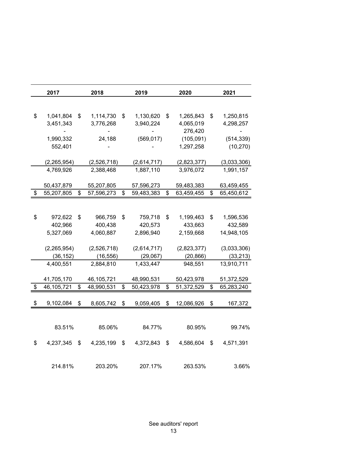| 2017             | 2018 |             |    | 2019        |    | 2020        |    | 2021        |  |
|------------------|------|-------------|----|-------------|----|-------------|----|-------------|--|
|                  |      |             |    |             |    |             |    |             |  |
| \$<br>1,041,804  | \$   | 1,114,730   | \$ | 1,130,620   | \$ | 1,265,843   | \$ | 1,250,815   |  |
| 3,451,343        |      | 3,776,268   |    | 3,940,224   |    | 4,065,019   |    | 4,298,257   |  |
|                  |      |             |    |             |    | 276,420     |    |             |  |
| 1,990,332        |      | 24,188      |    | (569, 017)  |    | (105, 091)  |    | (514, 339)  |  |
| 552,401          |      |             |    |             |    | 1,297,258   |    | (10, 270)   |  |
|                  |      |             |    |             |    |             |    |             |  |
| (2,265,954)      |      | (2,526,718) |    | (2,614,717) |    | (2,823,377) |    | (3,033,306) |  |
| 4,769,926        |      | 2,388,468   |    | 1,887,110   |    | 3,976,072   |    | 1,991,157   |  |
|                  |      |             |    |             |    |             |    |             |  |
| 50,437,879       |      | 55,207,805  |    | 57,596,273  |    | 59,483,383  |    | 63,459,455  |  |
| \$<br>55,207,805 | \$   | 57,596,273  | \$ | 59,483,383  | \$ | 63,459,455  | \$ | 65,450,612  |  |
|                  |      |             |    |             |    |             |    |             |  |
|                  |      |             |    |             |    |             |    |             |  |
| \$<br>972,622    | \$   | 966,759     | \$ | 759,718     | \$ | 1,199,463   | \$ | 1,596,536   |  |
| 402,966          |      | 400,438     |    | 420,573     |    | 433,663     |    | 432,589     |  |
| 5,327,069        |      | 4,060,887   |    | 2,896,940   |    | 2,159,668   |    | 14,948,105  |  |
|                  |      |             |    |             |    |             |    |             |  |
| (2,265,954)      |      | (2,526,718) |    | (2,614,717) |    | (2,823,377) |    | (3,033,306) |  |
| (36, 152)        |      | (16, 556)   |    | (29,067)    |    | (20, 866)   |    | (33, 213)   |  |
| 4,400,551        |      | 2,884,810   |    | 1,433,447   |    | 948,551     |    | 13,910,711  |  |
|                  |      |             |    |             |    |             |    |             |  |
| 41,705,170       |      | 46,105,721  |    | 48,990,531  |    | 50,423,978  |    | 51,372,529  |  |
| \$<br>46,105,721 | \$   | 48,990,531  | \$ | 50,423,978  | \$ | 51,372,529  | \$ | 65,283,240  |  |
|                  |      |             |    |             |    |             |    |             |  |
| \$<br>9,102,084  | \$   | 8,605,742   | \$ | 9,059,405   | \$ | 12,086,926  | \$ | 167,372     |  |
|                  |      |             |    |             |    |             |    |             |  |
|                  |      |             |    |             |    |             |    |             |  |
| 83.51%           |      | 85.06%      |    | 84.77%      |    | 80.95%      |    | 99.74%      |  |
|                  |      |             |    |             |    |             |    |             |  |
| \$<br>4,237,345  | \$   | 4,235,199   | \$ | 4,372,843   | \$ | 4,586,604   | \$ | 4,571,391   |  |
|                  |      |             |    |             |    |             |    |             |  |
|                  |      |             |    |             |    |             |    |             |  |
| 214.81%          |      | 203.20%     |    | 207.17%     |    | 263.53%     |    | 3.66%       |  |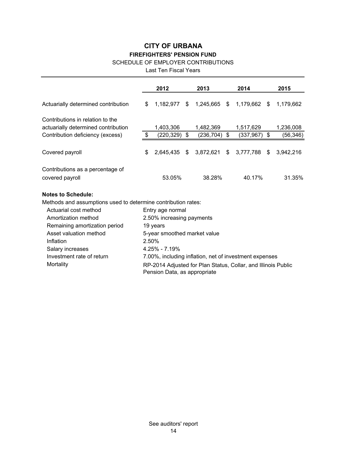### SCHEDULE OF EMPLOYER CONTRIBUTIONS

Last Ten Fiscal Years

|                                                                                                            |                                                        | 2012                         |    | 2013      |    | 2014       |        | 2015      |  |  |  |
|------------------------------------------------------------------------------------------------------------|--------------------------------------------------------|------------------------------|----|-----------|----|------------|--------|-----------|--|--|--|
| Actuarially determined contribution                                                                        | \$                                                     | 1,182,977                    | S. | 1,245,665 | \$ | 1,179,662  | -S     | 1,179,662 |  |  |  |
| Contributions in relation to the                                                                           |                                                        |                              |    |           |    |            |        |           |  |  |  |
| actuarially determined contribution                                                                        |                                                        | 1,403,306                    |    | 1,482,369 |    | 1,517,629  |        | 1,236,008 |  |  |  |
| Contribution deficiency (excess)                                                                           | \$                                                     | (220,329)                    | \$ | (236,704) | \$ | (337, 967) | \$     | (56,346)  |  |  |  |
| Covered payroll                                                                                            | \$                                                     | 2,645,435                    | \$ | 3,872,621 | \$ | 3,777,788  | \$     | 3,942,216 |  |  |  |
| Contributions as a percentage of                                                                           |                                                        |                              |    |           |    |            |        |           |  |  |  |
| covered payroll                                                                                            |                                                        | 53.05%                       |    | 38.28%    |    | 40.17%     | 31.35% |           |  |  |  |
| <b>Notes to Schedule:</b>                                                                                  |                                                        |                              |    |           |    |            |        |           |  |  |  |
| Methods and assumptions used to determine contribution rates:                                              |                                                        |                              |    |           |    |            |        |           |  |  |  |
| Actuarial cost method                                                                                      |                                                        | Entry age normal             |    |           |    |            |        |           |  |  |  |
| Amortization method                                                                                        | 2.50% increasing payments                              |                              |    |           |    |            |        |           |  |  |  |
| Remaining amortization period                                                                              |                                                        | 19 years                     |    |           |    |            |        |           |  |  |  |
| Asset valuation method                                                                                     |                                                        | 5-year smoothed market value |    |           |    |            |        |           |  |  |  |
| Inflation                                                                                                  |                                                        | 2.50%                        |    |           |    |            |        |           |  |  |  |
| Salary increases                                                                                           | 4.25% - 7.19%                                          |                              |    |           |    |            |        |           |  |  |  |
| Investment rate of return                                                                                  | 7.00%, including inflation, net of investment expenses |                              |    |           |    |            |        |           |  |  |  |
| Mortality<br>RP-2014 Adjusted for Plan Status, Collar, and Illinois Public<br>Pension Data, as appropriate |                                                        |                              |    |           |    |            |        |           |  |  |  |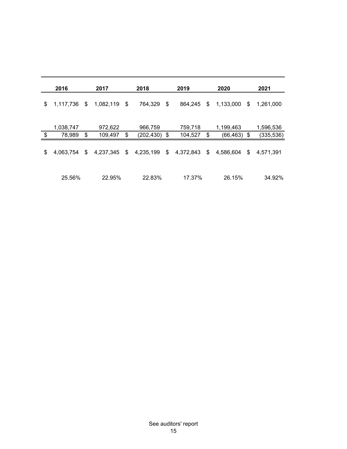| 2016                      | 2017                     | 2018                        | 2019                     | 2020                        | 2021                          |
|---------------------------|--------------------------|-----------------------------|--------------------------|-----------------------------|-------------------------------|
| \$<br>1,117,736           | \$<br>1,082,119          | \$<br>764,329               | \$<br>864,245            | \$<br>1,133,000             | \$<br>1,261,000               |
| \$<br>1,038,747<br>78,989 | \$<br>972,622<br>109,497 | \$<br>966,759<br>(202, 430) | \$<br>759,718<br>104,527 | \$<br>1,199,463<br>(66,463) | \$<br>1,596,536<br>(335, 536) |
| \$<br>4.063.754           | \$<br>4,237,345          | \$<br>4,235,199             | \$<br>4,372,843          | \$<br>4,586,604             | \$<br>4,571,391               |
| 25.56%                    | 22.95%                   | 22.83%                      | 17.37%                   | 26.15%                      | 34.92%                        |